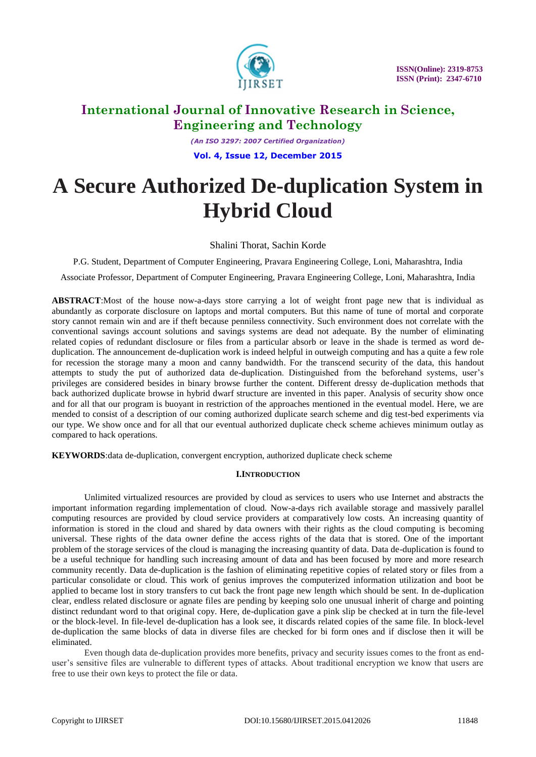

*(An ISO 3297: 2007 Certified Organization)* **Vol. 4, Issue 12, December 2015**

# **A Secure Authorized De-duplication System in Hybrid Cloud**

Shalini Thorat, Sachin Korde

P.G. Student, Department of Computer Engineering, Pravara Engineering College, Loni, Maharashtra, India

Associate Professor, Department of Computer Engineering, Pravara Engineering College, Loni, Maharashtra, India

**ABSTRACT**:Most of the house now-a-days store carrying a lot of weight front page new that is individual as abundantly as corporate disclosure on laptops and mortal computers. But this name of tune of mortal and corporate story cannot remain win and are if theft because penniless connectivity. Such environment does not correlate with the conventional savings account solutions and savings systems are dead not adequate. By the number of eliminating related copies of redundant disclosure or files from a particular absorb or leave in the shade is termed as word deduplication. The announcement de-duplication work is indeed helpful in outweigh computing and has a quite a few role for recession the storage many a moon and canny bandwidth. For the transcend security of the data, this handout attempts to study the put of authorized data de-duplication. Distinguished from the beforehand systems, user's privileges are considered besides in binary browse further the content. Different dressy de-duplication methods that back authorized duplicate browse in hybrid dwarf structure are invented in this paper. Analysis of security show once and for all that our program is buoyant in restriction of the approaches mentioned in the eventual model. Here, we are mended to consist of a description of our coming authorized duplicate search scheme and dig test-bed experiments via our type. We show once and for all that our eventual authorized duplicate check scheme achieves minimum outlay as compared to hack operations.

**KEYWORDS**:data de-duplication, convergent encryption, authorized duplicate check scheme

### **I.INTRODUCTION**

Unlimited virtualized resources are provided by cloud as services to users who use Internet and abstracts the important information regarding implementation of cloud. Now-a-days rich available storage and massively parallel computing resources are provided by cloud service providers at comparatively low costs. An increasing quantity of information is stored in the cloud and shared by data owners with their rights as the cloud computing is becoming universal. These rights of the data owner define the access rights of the data that is stored. One of the important problem of the storage services of the cloud is managing the increasing quantity of data. Data de-duplication is found to be a useful technique for handling such increasing amount of data and has been focused by more and more research community recently. Data de-duplication is the fashion of eliminating repetitive copies of related story or files from a particular consolidate or cloud. This work of genius improves the computerized information utilization and boot be applied to became lost in story transfers to cut back the front page new length which should be sent. In de-duplication clear, endless related disclosure or agnate files are pending by keeping solo one unusual inherit of charge and pointing distinct redundant word to that original copy. Here, de-duplication gave a pink slip be checked at in turn the file-level or the block-level. In file-level de-duplication has a look see, it discards related copies of the same file. In block-level de-duplication the same blocks of data in diverse files are checked for bi form ones and if disclose then it will be eliminated.

Even though data de-duplication provides more benefits, privacy and security issues comes to the front as enduser's sensitive files are vulnerable to different types of attacks. About traditional encryption we know that users are free to use their own keys to protect the file or data.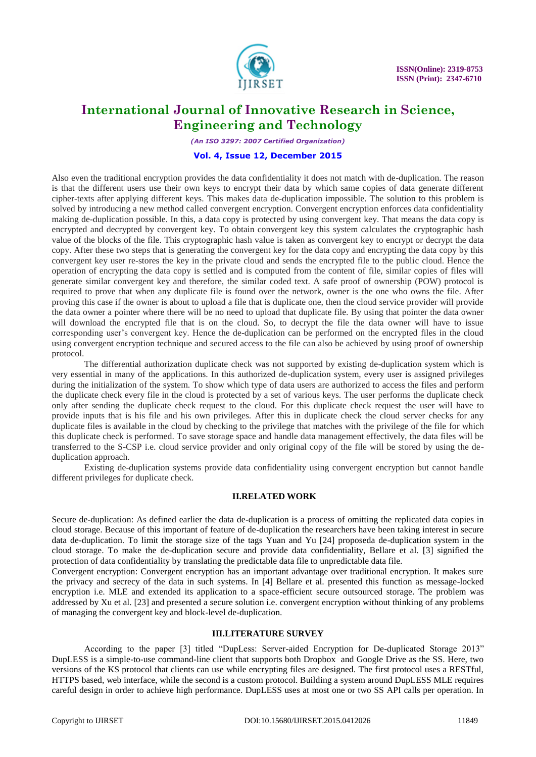

*(An ISO 3297: 2007 Certified Organization)*

#### **Vol. 4, Issue 12, December 2015**

Also even the traditional encryption provides the data confidentiality it does not match with de-duplication. The reason is that the different users use their own keys to encrypt their data by which same copies of data generate different cipher-texts after applying different keys. This makes data de-duplication impossible. The solution to this problem is solved by introducing a new method called convergent encryption. Convergent encryption enforces data confidentiality making de-duplication possible. In this, a data copy is protected by using convergent key. That means the data copy is encrypted and decrypted by convergent key. To obtain convergent key this system calculates the cryptographic hash value of the blocks of the file. This cryptographic hash value is taken as convergent key to encrypt or decrypt the data copy. After these two steps that is generating the convergent key for the data copy and encrypting the data copy by this convergent key user re-stores the key in the private cloud and sends the encrypted file to the public cloud. Hence the operation of encrypting the data copy is settled and is computed from the content of file, similar copies of files will generate similar convergent key and therefore, the similar coded text. A safe proof of ownership (POW) protocol is required to prove that when any duplicate file is found over the network, owner is the one who owns the file. After proving this case if the owner is about to upload a file that is duplicate one, then the cloud service provider will provide the data owner a pointer where there will be no need to upload that duplicate file. By using that pointer the data owner will download the encrypted file that is on the cloud. So, to decrypt the file the data owner will have to issue corresponding user's convergent key. Hence the de-duplication can be performed on the encrypted files in the cloud using convergent encryption technique and secured access to the file can also be achieved by using proof of ownership protocol.

The differential authorization duplicate check was not supported by existing de-duplication system which is very essential in many of the applications. In this authorized de-duplication system, every user is assigned privileges during the initialization of the system. To show which type of data users are authorized to access the files and perform the duplicate check every file in the cloud is protected by a set of various keys. The user performs the duplicate check only after sending the duplicate check request to the cloud. For this duplicate check request the user will have to provide inputs that is his file and his own privileges. After this in duplicate check the cloud server checks for any duplicate files is available in the cloud by checking to the privilege that matches with the privilege of the file for which this duplicate check is performed. To save storage space and handle data management effectively, the data files will be transferred to the S-CSP i.e. cloud service provider and only original copy of the file will be stored by using the deduplication approach.

Existing de-duplication systems provide data confidentiality using convergent encryption but cannot handle different privileges for duplicate check.

#### **II.RELATED WORK**

Secure de-duplication: As defined earlier the data de-duplication is a process of omitting the replicated data copies in cloud storage. Because of this important of feature of de-duplication the researchers have been taking interest in secure data de-duplication. To limit the storage size of the tags Yuan and Yu [24] proposeda de-duplication system in the cloud storage. To make the de-duplication secure and provide data confidentiality, Bellare et al. [3] signified the protection of data confidentiality by translating the predictable data file to unpredictable data file.

Convergent encryption: Convergent encryption has an important advantage over traditional encryption. It makes sure the privacy and secrecy of the data in such systems. In [4] Bellare et al. presented this function as message-locked encryption i.e. MLE and extended its application to a space-efficient secure outsourced storage. The problem was addressed by Xu et al. [23] and presented a secure solution i.e. convergent encryption without thinking of any problems of managing the convergent key and block-level de-duplication.

### **III.LITERATURE SURVEY**

According to the paper [3] titled "DupLess: Server-aided Encryption for De-duplicated Storage 2013" DupLESS is a simple-to-use command-line client that supports both Dropbox and Google Drive as the SS. Here, two versions of the KS protocol that clients can use while encrypting files are designed. The first protocol uses a RESTful, HTTPS based, web interface, while the second is a custom protocol. Building a system around DupLESS MLE requires careful design in order to achieve high performance. DupLESS uses at most one or two SS API calls per operation. In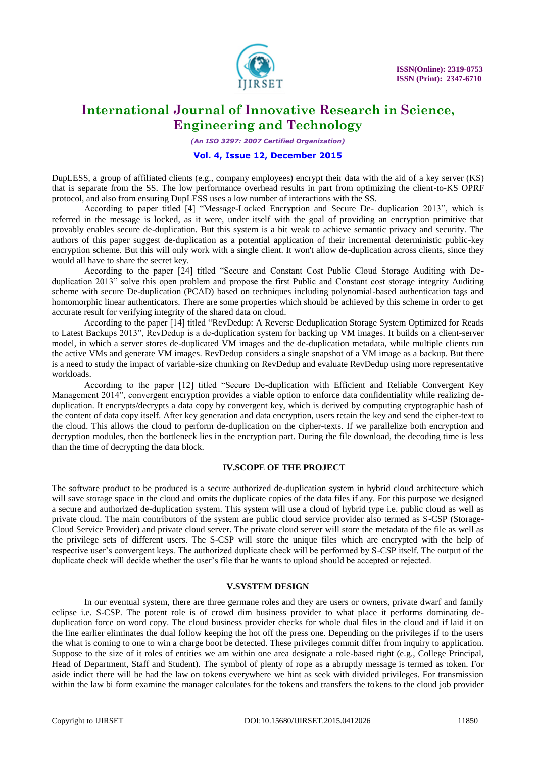

*(An ISO 3297: 2007 Certified Organization)*

#### **Vol. 4, Issue 12, December 2015**

DupLESS, a group of affiliated clients (e.g., company employees) encrypt their data with the aid of a key server (KS) that is separate from the SS. The low performance overhead results in part from optimizing the client-to-KS OPRF protocol, and also from ensuring DupLESS uses a low number of interactions with the SS.

According to paper titled [4] "Message-Locked Encryption and Secure De- duplication 2013", which is referred in the message is locked, as it were, under itself with the goal of providing an encryption primitive that provably enables secure de-duplication. But this system is a bit weak to achieve semantic privacy and security. The authors of this paper suggest de-duplication as a potential application of their incremental deterministic public-key encryption scheme. But this will only work with a single client. It won't allow de-duplication across clients, since they would all have to share the secret key.

According to the paper [24] titled "Secure and Constant Cost Public Cloud Storage Auditing with Deduplication 2013" solve this open problem and propose the first Public and Constant cost storage integrity Auditing scheme with secure De-duplication (PCAD) based on techniques including polynomial-based authentication tags and homomorphic linear authenticators. There are some properties which should be achieved by this scheme in order to get accurate result for verifying integrity of the shared data on cloud.

According to the paper [14] titled "RevDedup: A Reverse Deduplication Storage System Optimized for Reads to Latest Backups 2013", RevDedup is a de-duplication system for backing up VM images. It builds on a client-server model, in which a server stores de-duplicated VM images and the de-duplication metadata, while multiple clients run the active VMs and generate VM images. RevDedup considers a single snapshot of a VM image as a backup. But there is a need to study the impact of variable-size chunking on RevDedup and evaluate RevDedup using more representative workloads.

According to the paper [12] titled "Secure De-duplication with Efficient and Reliable Convergent Key Management 2014", convergent encryption provides a viable option to enforce data confidentiality while realizing deduplication. It encrypts/decrypts a data copy by convergent key, which is derived by computing cryptographic hash of the content of data copy itself. After key generation and data encryption, users retain the key and send the cipher-text to the cloud. This allows the cloud to perform de-duplication on the cipher-texts. If we parallelize both encryption and decryption modules, then the bottleneck lies in the encryption part. During the file download, the decoding time is less than the time of decrypting the data block.

#### **IV.SCOPE OF THE PROJECT**

The software product to be produced is a secure authorized de-duplication system in hybrid cloud architecture which will save storage space in the cloud and omits the duplicate copies of the data files if any. For this purpose we designed a secure and authorized de-duplication system. This system will use a cloud of hybrid type i.e. public cloud as well as private cloud. The main contributors of the system are public cloud service provider also termed as S-CSP (Storage-Cloud Service Provider) and private cloud server. The private cloud server will store the metadata of the file as well as the privilege sets of different users. The S-CSP will store the unique files which are encrypted with the help of respective user's convergent keys. The authorized duplicate check will be performed by S-CSP itself. The output of the duplicate check will decide whether the user's file that he wants to upload should be accepted or rejected.

#### **V.SYSTEM DESIGN**

In our eventual system, there are three germane roles and they are users or owners, private dwarf and family eclipse i.e. S-CSP. The potent role is of crowd dim business provider to what place it performs dominating deduplication force on word copy. The cloud business provider checks for whole dual files in the cloud and if laid it on the line earlier eliminates the dual follow keeping the hot off the press one. Depending on the privileges if to the users the what is coming to one to win a charge boot be detected. These privileges commit differ from inquiry to application. Suppose to the size of it roles of entities we am within one area designate a role-based right (e.g., College Principal, Head of Department, Staff and Student). The symbol of plenty of rope as a abruptly message is termed as token. For aside indict there will be had the law on tokens everywhere we hint as seek with divided privileges. For transmission within the law bi form examine the manager calculates for the tokens and transfers the tokens to the cloud job provider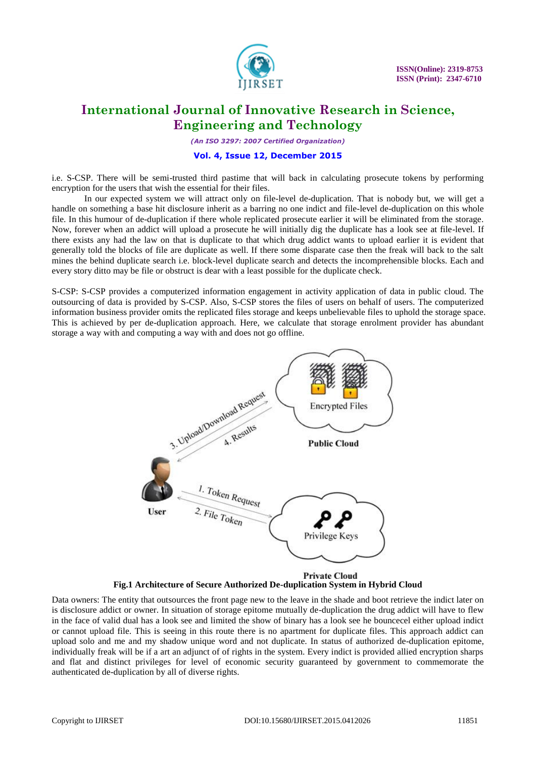

*(An ISO 3297: 2007 Certified Organization)*

### **Vol. 4, Issue 12, December 2015**

i.e. S-CSP. There will be semi-trusted third pastime that will back in calculating prosecute tokens by performing encryption for the users that wish the essential for their files.

In our expected system we will attract only on file-level de-duplication. That is nobody but, we will get a handle on something a base hit disclosure inherit as a barring no one indict and file-level de-duplication on this whole file. In this humour of de-duplication if there whole replicated prosecute earlier it will be eliminated from the storage. Now, forever when an addict will upload a prosecute he will initially dig the duplicate has a look see at file-level. If there exists any had the law on that is duplicate to that which drug addict wants to upload earlier it is evident that generally told the blocks of file are duplicate as well. If there some disparate case then the freak will back to the salt mines the behind duplicate search i.e. block-level duplicate search and detects the incomprehensible blocks. Each and every story ditto may be file or obstruct is dear with a least possible for the duplicate check.

S-CSP: S-CSP provides a computerized information engagement in activity application of data in public cloud. The outsourcing of data is provided by S-CSP. Also, S-CSP stores the files of users on behalf of users. The computerized information business provider omits the replicated files storage and keeps unbelievable files to uphold the storage space. This is achieved by per de-duplication approach. Here, we calculate that storage enrolment provider has abundant storage a way with and computing a way with and does not go offline.



**Fig.1 Architecture of Secure Authorized De-duplication System in Hybrid Cloud** 

Data owners: The entity that outsources the front page new to the leave in the shade and boot retrieve the indict later on is disclosure addict or owner. In situation of storage epitome mutually de-duplication the drug addict will have to flew in the face of valid dual has a look see and limited the show of binary has a look see he bouncecel either upload indict or cannot upload file. This is seeing in this route there is no apartment for duplicate files. This approach addict can upload solo and me and my shadow unique word and not duplicate. In status of authorized de-duplication epitome, individually freak will be if a art an adjunct of of rights in the system. Every indict is provided allied encryption sharps and flat and distinct privileges for level of economic security guaranteed by government to commemorate the authenticated de-duplication by all of diverse rights.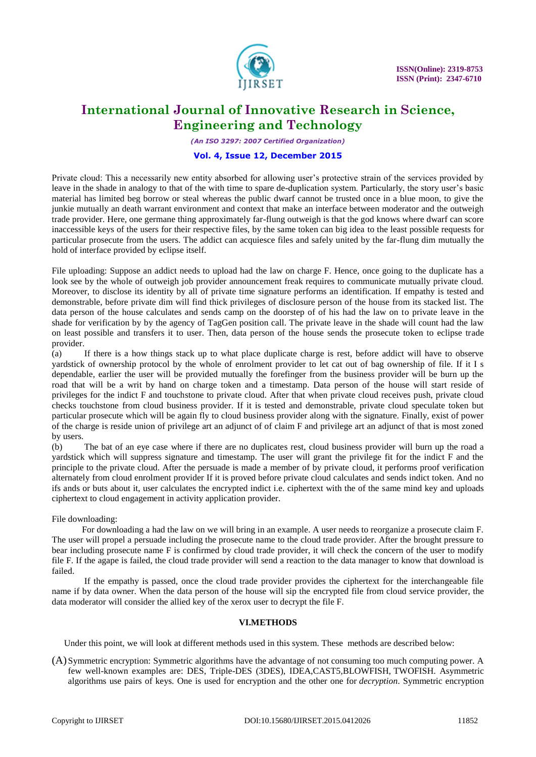

*(An ISO 3297: 2007 Certified Organization)*

#### **Vol. 4, Issue 12, December 2015**

Private cloud: This a necessarily new entity absorbed for allowing user's protective strain of the services provided by leave in the shade in analogy to that of the with time to spare de-duplication system. Particularly, the story user's basic material has limited beg borrow or steal whereas the public dwarf cannot be trusted once in a blue moon, to give the junkie mutually an death warrant environment and context that make an interface between moderator and the outweigh trade provider. Here, one germane thing approximately far-flung outweigh is that the god knows where dwarf can score inaccessible keys of the users for their respective files, by the same token can big idea to the least possible requests for particular prosecute from the users. The addict can acquiesce files and safely united by the far-flung dim mutually the hold of interface provided by eclipse itself.

File uploading: Suppose an addict needs to upload had the law on charge F. Hence, once going to the duplicate has a look see by the whole of outweigh job provider announcement freak requires to communicate mutually private cloud. Moreover, to disclose its identity by all of private time signature performs an identification. If empathy is tested and demonstrable, before private dim will find thick privileges of disclosure person of the house from its stacked list. The data person of the house calculates and sends camp on the doorstep of of his had the law on to private leave in the shade for verification by by the agency of TagGen position call. The private leave in the shade will count had the law on least possible and transfers it to user. Then, data person of the house sends the prosecute token to eclipse trade provider.

(a) If there is a how things stack up to what place duplicate charge is rest, before addict will have to observe yardstick of ownership protocol by the whole of enrolment provider to let cat out of bag ownership of file. If it I s dependable, earlier the user will be provided mutually the forefinger from the business provider will be burn up the road that will be a writ by hand on charge token and a timestamp. Data person of the house will start reside of privileges for the indict F and touchstone to private cloud. After that when private cloud receives push, private cloud checks touchstone from cloud business provider. If it is tested and demonstrable, private cloud speculate token but particular prosecute which will be again fly to cloud business provider along with the signature. Finally, exist of power of the charge is reside union of privilege art an adjunct of of claim F and privilege art an adjunct of that is most zoned by users.

(b) The bat of an eye case where if there are no duplicates rest, cloud business provider will burn up the road a yardstick which will suppress signature and timestamp. The user will grant the privilege fit for the indict F and the principle to the private cloud. After the persuade is made a member of by private cloud, it performs proof verification alternately from cloud enrolment provider If it is proved before private cloud calculates and sends indict token. And no ifs ands or buts about it, user calculates the encrypted indict i.e. ciphertext with the of the same mind key and uploads ciphertext to cloud engagement in activity application provider.

File downloading:

For downloading a had the law on we will bring in an example. A user needs to reorganize a prosecute claim F. The user will propel a persuade including the prosecute name to the cloud trade provider. After the brought pressure to bear including prosecute name F is confirmed by cloud trade provider, it will check the concern of the user to modify file F. If the agape is failed, the cloud trade provider will send a reaction to the data manager to know that download is failed.

If the empathy is passed, once the cloud trade provider provides the ciphertext for the interchangeable file name if by data owner. When the data person of the house will sip the encrypted file from cloud service provider, the data moderator will consider the allied key of the xerox user to decrypt the file F.

### **VI.METHODS**

Under this point, we will look at different methods used in this system. These methods are described below:

(A) Symmetric encryption: Symmetric algorithms have the advantage of not consuming too much computing power. A few well-known examples are: DES, Triple-DES (3DES), IDEA,CAST5,BLOWFISH, TWOFISH. Asymmetric algorithms use pairs of keys. One is used for encryption and the other one for *decryption*. Symmetric encryption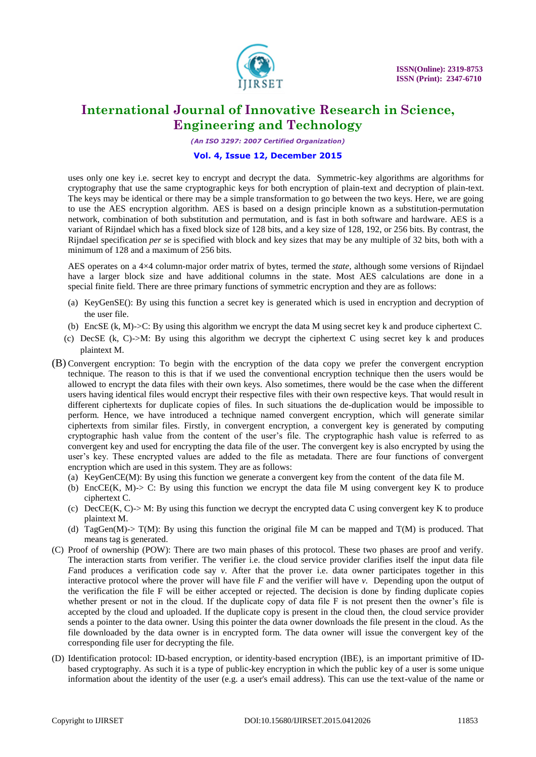

*(An ISO 3297: 2007 Certified Organization)*

#### **Vol. 4, Issue 12, December 2015**

uses only one key i.e. secret key to encrypt and decrypt the data. Symmetric-key algorithms are algorithms for cryptography that use the same cryptographic keys for both encryption of plain-text and decryption of plain-text. The keys may be identical or there may be a simple transformation to go between the two keys. Here, we are going to use the AES encryption algorithm. AES is based on a design principle known as a [substitution-permutation](https://en.wikipedia.org/wiki/Substitution-permutation_network)  [network,](https://en.wikipedia.org/wiki/Substitution-permutation_network) combination of both substitution and permutation, and is fast in both software and hardware. AES is a variant of Rijndael which has a fixed [block size](https://en.wikipedia.org/wiki/Block_size_(cryptography)) of 128 [bits,](https://en.wikipedia.org/wiki/Bit) and a [key size](https://en.wikipedia.org/wiki/Key_size) of 128, 192, or 256 bits. By contrast, the Rijndael specification *per se* is specified with block and key sizes that may be any multiple of 32 bits, both with a minimum of 128 and a maximum of 256 bits.

AES operates on a 4×4 [column-major order](https://en.wikipedia.org/wiki/Column-major_order) matrix of bytes, termed the *state*, although some versions of Rijndael have a larger block size and have additional columns in the state. Most AES calculations are done in a special [finite field.](https://en.wikipedia.org/wiki/Finite_field_arithmetic) There are three primary functions of symmetric encryption and they are as follows:

- (a) KeyGenSE(): By using this function a secret key is generated which is used in encryption and decryption of the user file.
- (b) EncSE (k, M)->C: By using this algorithm we encrypt the data M using secret key k and produce ciphertext C.
- (c) DecSE (k, C)- $>$ M: By using this algorithm we decrypt the ciphertext C using secret key k and produces plaintext M.
- (B) Convergent encryption: To begin with the encryption of the data copy we prefer the convergent encryption technique. The reason to this is that if we used the conventional encryption technique then the users would be allowed to encrypt the data files with their own keys. Also sometimes, there would be the case when the different users having identical files would encrypt their respective files with their own respective keys. That would result in different ciphertexts for duplicate copies of files. In such situations the de-duplication would be impossible to perform. Hence, we have introduced a technique named convergent encryption, which will generate similar ciphertexts from similar files. Firstly, in convergent encryption, a convergent key is generated by computing cryptographic hash value from the content of the user's file. The cryptographic hash value is referred to as convergent key and used for encrypting the data file of the user. The convergent key is also encrypted by using the user's key. These encrypted values are added to the file as metadata. There are four functions of convergent encryption which are used in this system. They are as follows:
	- (a) KeyGenCE(M): By using this function we generate a convergent key from the content of the data file M.
	- (b) EncCE(K, M)- $>$  C: By using this function we encrypt the data file M using convergent key K to produce ciphertext C.
	- (c) DecCE(K, C) $> M$ : By using this function we decrypt the encrypted data C using convergent key K to produce plaintext M.
	- (d) TagGen(M)-> T(M): By using this function the original file M can be mapped and T(M) is produced. That means tag is generated.
- (C) Proof of ownership (POW): There are two main phases of this protocol. These two phases are proof and verify. The interaction starts from verifier. The verifier i.e. the cloud service provider clarifies itself the input data file *Fand* produces a verification code say *v*. After that the prover i.e. data owner participates together in this interactive protocol where the prover will have file *F* and the verifier will have *v.* Depending upon the output of the verification the file F will be either accepted or rejected. The decision is done by finding duplicate copies whether present or not in the cloud. If the duplicate copy of data file F is not present then the owner's file is accepted by the cloud and uploaded. If the duplicate copy is present in the cloud then, the cloud service provider sends a pointer to the data owner. Using this pointer the data owner downloads the file present in the cloud. As the file downloaded by the data owner is in encrypted form. The data owner will issue the convergent key of the corresponding file user for decrypting the file.
- (D) Identification protocol: ID-based encryption, or identity-based encryption (IBE), is an important primitive of [ID](https://en.wikipedia.org/wiki/ID-based_cryptography)[based cryptography.](https://en.wikipedia.org/wiki/ID-based_cryptography) As such it is a type of [public-key encryption](https://en.wikipedia.org/wiki/Public-key_encryption) in which the [public key](https://en.wikipedia.org/wiki/Public_key) of a user is some unique information about the identity of the user (e.g. a user's email address). This can use the text-value of the name or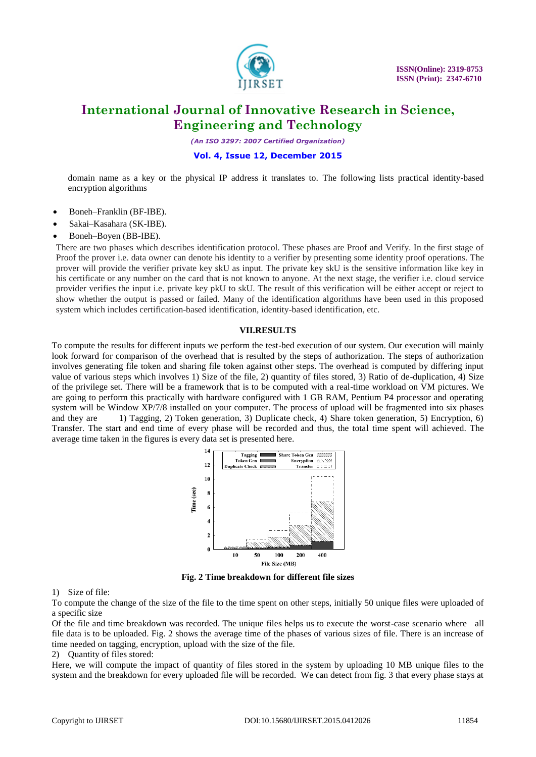

*(An ISO 3297: 2007 Certified Organization)*

### **Vol. 4, Issue 12, December 2015**

domain name as a key or the physical IP address it translates to. The following lists practical identity-based encryption algorithms

- [Boneh–Franklin](https://en.wikipedia.org/wiki/Boneh%E2%80%93Franklin_scheme) (BF-IBE).
- [Sakai–Kasahara](https://en.wikipedia.org/wiki/Sakai%E2%80%93Kasahara_scheme) (SK-IBE).
- Boneh–Boyen (BB-IBE).

There are two phases which describes identification protocol. These phases are Proof and Verify. In the first stage of Proof the prover i.e. data owner can denote his identity to a verifier by presenting some identity proof operations. The prover will provide the verifier private key skU as input. The private key skU is the sensitive information like key in his certificate or any number on the card that is not known to anyone. At the next stage, the verifier i.e. cloud service provider verifies the input i.e. private key pkU to skU. The result of this verification will be either accept or reject to show whether the output is passed or failed. Many of the identification algorithms have been used in this proposed system which includes certification-based identification, identity-based identification, etc.

### **VII.RESULTS**

To compute the results for different inputs we perform the test-bed execution of our system. Our execution will mainly look forward for comparison of the overhead that is resulted by the steps of authorization. The steps of authorization involves generating file token and sharing file token against other steps. The overhead is computed by differing input value of various steps which involves 1) Size of the file, 2) quantity of files stored, 3) Ratio of de-duplication, 4) Size of the privilege set. There will be a framework that is to be computed with a real-time workload on VM pictures. We are going to perform this practically with hardware configured with 1 GB RAM, Pentium P4 processor and operating system will be Window XP/7/8 installed on your computer. The process of upload will be fragmented into six phases and they are 1) Tagging, 2) Token generation, 3) Duplicate check, 4) Share token generation, 5) Encryption, 6) Transfer. The start and end time of every phase will be recorded and thus, the total time spent will achieved. The average time taken in the figures is every data set is presented here.



**Fig. 2 Time breakdown for different file sizes**

1) Size of file:

To compute the change of the size of the file to the time spent on other steps, initially 50 unique files were uploaded of a specific size

Of the file and time breakdown was recorded. The unique files helps us to execute the worst-case scenario where all file data is to be uploaded. Fig. 2 shows the average time of the phases of various sizes of file. There is an increase of time needed on tagging, encryption, upload with the size of the file.

2) Quantity of files stored:

Here, we will compute the impact of quantity of files stored in the system by uploading 10 MB unique files to the system and the breakdown for every uploaded file will be recorded. We can detect from fig. 3 that every phase stays at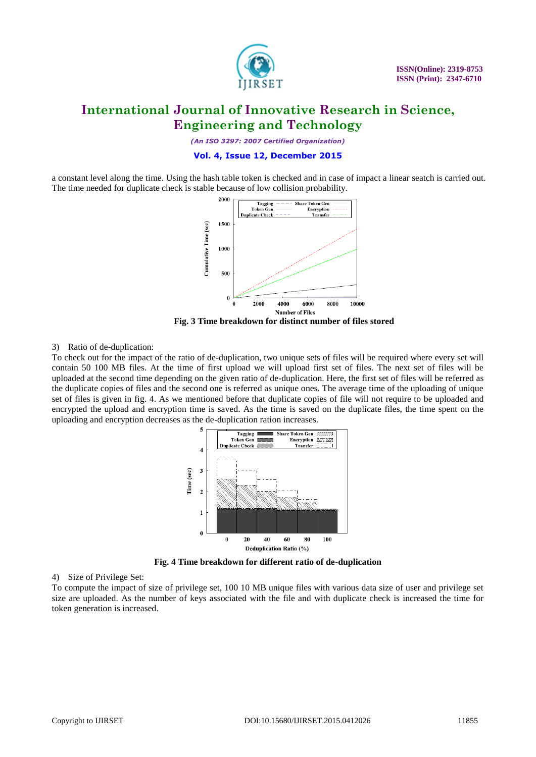

*(An ISO 3297: 2007 Certified Organization)*

#### **Vol. 4, Issue 12, December 2015**

a constant level along the time. Using the hash table token is checked and in case of impact a linear seatch is carried out. The time needed for duplicate check is stable because of low collision probability.



**Fig. 3 Time breakdown for distinct number of files stored**

#### 3) Ratio of de-duplication:

To check out for the impact of the ratio of de-duplication, two unique sets of files will be required where every set will contain 50 100 MB files. At the time of first upload we will upload first set of files. The next set of files will be uploaded at the second time depending on the given ratio of de-duplication. Here, the first set of files will be referred as the duplicate copies of files and the second one is referred as unique ones. The average time of the uploading of unique set of files is given in fig. 4. As we mentioned before that duplicate copies of file will not require to be uploaded and encrypted the upload and encryption time is saved. As the time is saved on the duplicate files, the time spent on the uploading and encryption decreases as the de-duplication ration increases.



**Fig. 4 Time breakdown for different ratio of de-duplication**

#### 4) Size of Privilege Set:

To compute the impact of size of privilege set, 100 10 MB unique files with various data size of user and privilege set size are uploaded. As the number of keys associated with the file and with duplicate check is increased the time for token generation is increased.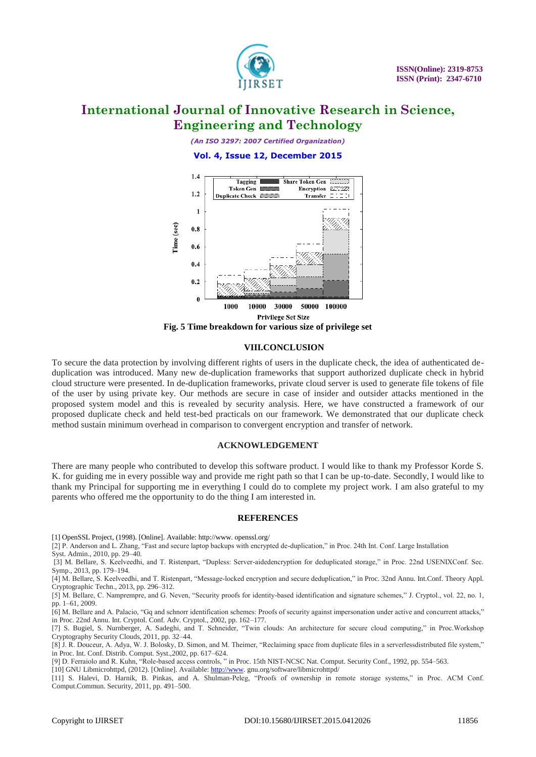

*(An ISO 3297: 2007 Certified Organization)*

**Vol. 4, Issue 12, December 2015**



**Fig. 5 Time breakdown for various size of privilege set**

### **VIII.CONCLUSION**

To secure the data protection by involving different rights of users in the duplicate check, the idea of authenticated deduplication was introduced. Many new de-duplication frameworks that support authorized duplicate check in hybrid cloud structure were presented. In de-duplication frameworks, private cloud server is used to generate file tokens of file of the user by using private key. Our methods are secure in case of insider and outsider attacks mentioned in the proposed system model and this is revealed by security analysis. Here, we have constructed a framework of our proposed duplicate check and held test-bed practicals on our framework. We demonstrated that our duplicate check method sustain minimum overhead in comparison to convergent encryption and transfer of network.

#### **ACKNOWLEDGEMENT**

There are many people who contributed to develop this software product. I would like to thank my Professor Korde S. K. for guiding me in every possible way and provide me right path so that I can be up-to-date. Secondly, I would like to thank my Principal for supporting me in everything I could do to complete my project work. I am also grateful to my parents who offered me the opportunity to do the thing I am interested in.

#### **REFERENCES**

[1] OpenSSL Project, (1998). [Online]. Available[: http://www.](http://www/) openssl.org/

[2] P. Anderson and L. Zhang, "Fast and secure laptop backups with encrypted de-duplication," in Proc. 24th Int. Conf. Large Installation Syst. Admin., 2010, pp. 29–40.

[3] M. Bellare, S. Keelveedhi, and T. Ristenpart, "Dupless: Server-aidedencryption for deduplicated storage," in Proc. 22nd USENIXConf. Sec. Symp., 2013, pp. 179–194.

[4] M. Bellare, S. Keelveedhi, and T. Ristenpart, "Message-locked encryption and secure deduplication," in Proc. 32nd Annu. Int.Conf. Theory Appl. Cryptographic Techn., 2013, pp. 296–312.

[5] M. Bellare, C. Namprempre, and G. Neven, "Security proofs for identity-based identification and signature schemes," J. Cryptol., vol. 22, no. 1, pp. 1–61, 2009.

[6] M. Bellare and A. Palacio, "Gq and schnorr identification schemes: Proofs of security against impersonation under active and concurrent attacks," in Proc. 22nd Annu. Int. Cryptol. Conf. Adv. Cryptol., 2002, pp. 162–177.

[7] S. Bugiel, S. Nurnberger, A. Sadeghi, and T. Schneider, "Twin clouds: An architecture for secure cloud computing," in Proc.Workshop Cryptography Security Clouds, 2011, pp. 32–44.

[8] J. R. Douceur, A. Adya, W. J. Bolosky, D. Simon, and M. Theimer, "Reclaiming space from duplicate files in a serverlessdistributed file system," in Proc. Int. Conf. Distrib. Comput. Syst.,2002, pp. 617–624.

[9] D. Ferraiolo and R. Kuhn, "Role-based access controls, " in Proc. 15th NIST-NCSC Nat. Comput. Security Conf., 1992, pp. 554–563.

[10] GNU Libmicrohttpd, (2012). [Online]. Available: http://www.gnu.org/software/libmicrohttpd/

[11] S. Halevi, D. Harnik, B. Pinkas, and A. Shulman-Peleg, "Proofs of ownership in remote storage systems," in Proc. ACM Conf. Comput.Commun. Security, 2011, pp. 491–500.